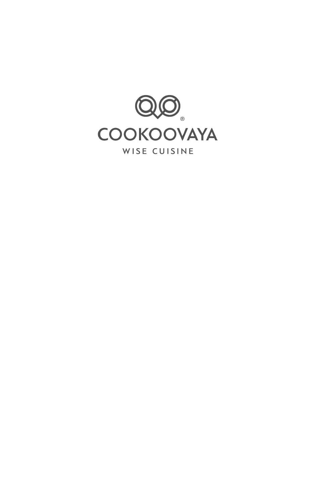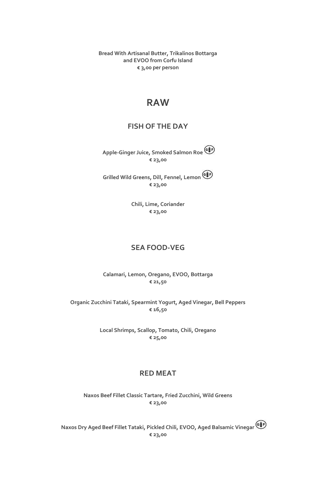**Bread With Artisanal Butter, Trikalinos Bottarga and EVOO from Corfu Island € 3,00 per person**

### **RAW**

#### **FISH OF THE DAY**

**Apple-Ginger Juice, Smoked Salmon Roe € 23,00**

**Grilled Wild Greens, Dill, Fennel, Lemon € 23,00**

> **Chili, Lime, Coriander € 23,00**

#### **SEA FOOD-VEG**

**Calamari, Lemon, Oregano, EVOO, Bottarga € 21,50**

**Organic Zucchini Tataki, Spearmint Yogurt, Aged Vinegar, Bell Peppers € 16,50**

> **Local Shrimps, Scallop, Tomato, Chili, Oregano € 25,00**

#### **RED MEAT**

**Naxos Beef Fillet Classic Tartare, Fried Zucchini, Wild Greens € 23,00**

 **Naxos Dry Aged Beef Fillet Tataki, Pickled Chili, EVOO, Aged Balsamic Vinegar € 23,00**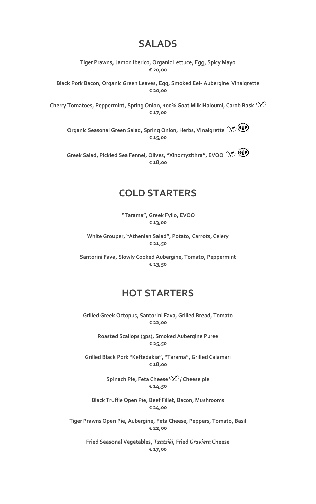### **SALADS**

**Tiger Prawns, Jamon Iberico, Organic Lettuce, Egg, Spicy Mayo € 20,00**

**Black Pork Bacon, Organic Green Leaves, Egg, Smoked Eel- Aubergine Vinaigrette € 20,00**

**Cherry Tomatoes, Peppermint, Spring Onion, 100% Goat Milk Haloumi, Carob Rask € 17,00**

**Organic Seasonal Green Salad, Spring Onion, Herbs, Vinaigrette € 15,00**

**Greek Salad, Pickled Sea Fennel, Olives, "Xinomyzithra", EVOO € 18,00**

### **COLD STARTERS**

**"Tarama", Greek Fyllo, EVOO € 13,00**

**White Grouper, "Athenian Salad", Potato, Carrots, Celery € 21,50**

**Santorini Fava, Slowly Cooked Aubergine, Tomato, Peppermint € 13,50**

# **HOT STARTERS**

**Grilled Greek Octopus, Santorini Fava, Grilled Bread, Tomato € 22,00**

**Roasted Scallops (3ps), Smoked Aubergine Puree € 25,50**

**Grilled Black Pork "Keftedakia", "Tarama", Grilled Calamari € 18,00**

> **Spinach Pie, Feta Cheese**  $\mathcal{D}$  / Cheese pie **€ 14,50**

**Black Truffle Open Pie, Beef Fillet, Bacon, Mushrooms € 24,00**

**Tiger Prawns Open Pie, Aubergine, Feta Cheese, Peppers, Tomato, Basil € 22,00**

**Fried Seasonal Vegetables,** *Tzatziki***, Fried** *Graviera* **Cheese € 17,00**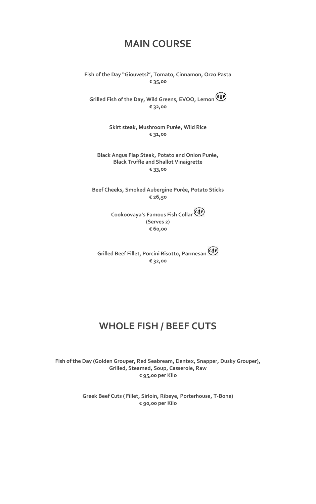## **MAIN COURSE**

**Fish of the Day "Giouvetsi", Tomato, Cinnamon, Orzo Pasta € 35,00**

**Grilled Fish of the Day, Wild Greens, EVOO, Lemon € 32,00**

> **Skirt steak, Mushroom Purée, Wild Rice € 31,00**

**Black Angus Flap Steak, Potato and Onion Purée, Black Truffle and Shallot Vinaigrette € 33,00**

**Beef Cheeks, Smoked Aubergine Purée, Potato Sticks € 26,50**

> **Cookoovaya's Famous Fish Collar (Serves 2) € 60,00**

**Grilled Beef Fillet, Porcini Risotto, Parmesan € 32,00**

# **WHOLE FISH / BEEF CUTS**

**Fish of the Day (Golden Grouper, Red Seabream, Dentex, Snapper, Dusky Grouper), Grilled, Steamed, Soup, Casserole, Raw € 95,00 per Kilo**

> **Greek Beef Cuts ( Fillet, Sirloin, Ribeye, Porterhouse, T-Bone) € 90,00 per Kilo**